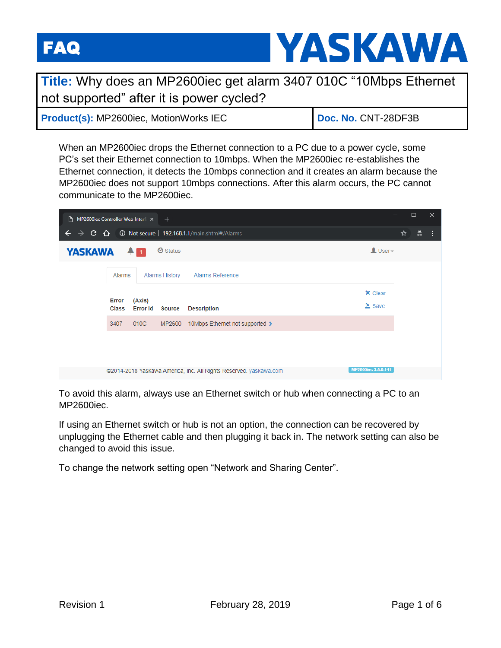

**Title:** Why does an MP2600iec get alarm 3407 010C "10Mbps Ethernet not supported" after it is power cycled?

| <b>Product(s): MP2600iec, MotionWorks IEC</b> | Doc. No. CNT-28DF3B |
|-----------------------------------------------|---------------------|
|-----------------------------------------------|---------------------|

When an MP2600iec drops the Ethernet connection to a PC due to a power cycle, some PC's set their Ethernet connection to 10mbps. When the MP2600iec re-establishes the Ethernet connection, it detects the 10mbps connection and it creates an alarm because the MP2600iec does not support 10mbps connections. After this alarm occurs, the PC cannot communicate to the MP2600iec.

| Pr.<br>MP2600iec Controller Web Interf: $\times$ + |                                                                              |                           |                |                                                                                          |   | $\Box$ | $\times$ |
|----------------------------------------------------|------------------------------------------------------------------------------|---------------------------|----------------|------------------------------------------------------------------------------------------|---|--------|----------|
| $\leftarrow$                                       |                                                                              |                           |                | $\rightarrow$ C $\hat{O}$ O Not secure   192.168.1.1/main.shtml#/Alarms                  | ☆ | 흢      | - 1      |
| <b>YASKAWA</b>                                     |                                                                              | $+1$                      | $\odot$ Status | $\mathbf{\Omega}$ User $\mathbf{\star}$                                                  |   |        |          |
|                                                    | <b>Alarms History</b><br><b>Alarms Reference</b><br>Alarms<br><b>×</b> Clear |                           |                |                                                                                          |   |        |          |
|                                                    |                                                                              |                           |                |                                                                                          |   |        |          |
|                                                    | <b>Error</b><br>Class                                                        | (Axis)<br><b>Error Id</b> | <b>Source</b>  | $\triangleq$ Save<br><b>Description</b>                                                  |   |        |          |
|                                                    | 3407                                                                         | 010C                      | MP2600         | 10Mbps Ethernet not supported >                                                          |   |        |          |
|                                                    |                                                                              |                           |                |                                                                                          |   |        |          |
|                                                    |                                                                              |                           |                |                                                                                          |   |        |          |
|                                                    |                                                                              |                           |                | MP2600iec 3.5.0.141<br>@2014-2018 Yaskawa America, Inc. All Rights Reserved. yaskawa.com |   |        |          |

To avoid this alarm, always use an Ethernet switch or hub when connecting a PC to an MP2600iec.

If using an Ethernet switch or hub is not an option, the connection can be recovered by unplugging the Ethernet cable and then plugging it back in. The network setting can also be changed to avoid this issue.

To change the network setting open "Network and Sharing Center".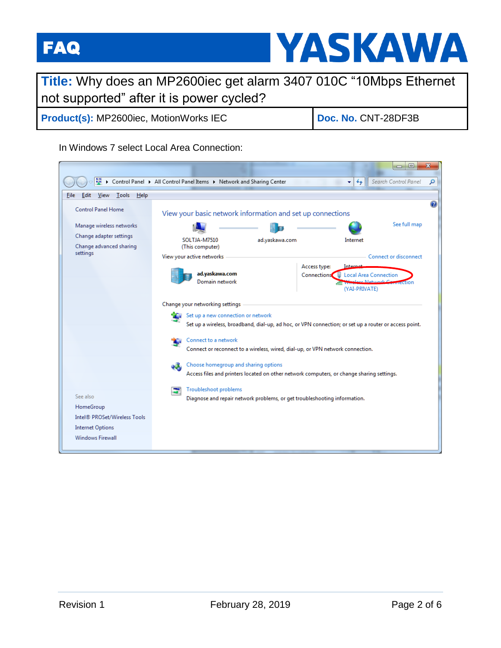

## **Title:** Why does an MP2600iec get alarm 3407 010C "10Mbps Ethernet not supported" after it is power cycled?

**Product(s):** MP2600iec, MotionWorks IEC **Doc. No. CNT-28DF3B** 

## In Windows 7 select Local Area Connection:

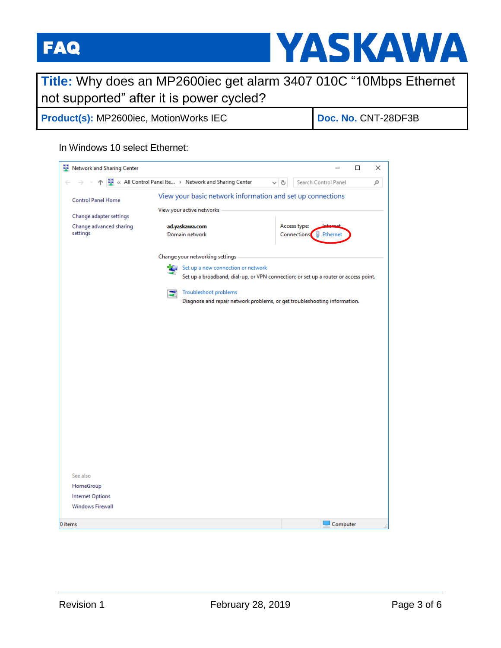

## **Title:** Why does an MP2600iec get alarm 3407 010C "10Mbps Ethernet not supported" after it is power cycled?

**Product(s):** MP2600iec, MotionWorks IEC **Doc. No. CNT-28DF3B** 

## In Windows 10 select Ethernet:

| Network and Sharing Center                  |                                                                                              |                                                                                     | □<br>×   |  |
|---------------------------------------------|----------------------------------------------------------------------------------------------|-------------------------------------------------------------------------------------|----------|--|
|                                             | KE « All Control Panel Ite  > Network and Sharing Center<br>Search Control Panel<br>√ ⊙<br>م |                                                                                     |          |  |
| <b>Control Panel Home</b>                   | View your basic network information and set up connections                                   |                                                                                     |          |  |
| Change adapter settings                     | View your active networks                                                                    |                                                                                     |          |  |
| Change advanced sharing<br>settings         | ad.yaskawa.com<br>Domain network                                                             | Access type:<br>Connections: [D] Ethernet                                           |          |  |
|                                             | Change your networking settings                                                              |                                                                                     |          |  |
|                                             | Set up a new connection or network                                                           |                                                                                     |          |  |
|                                             |                                                                                              | Set up a broadband, dial-up, or VPN connection; or set up a router or access point. |          |  |
|                                             | Troubleshoot problems                                                                        |                                                                                     |          |  |
|                                             |                                                                                              | Diagnose and repair network problems, or get troubleshooting information.           |          |  |
|                                             |                                                                                              |                                                                                     |          |  |
|                                             |                                                                                              |                                                                                     |          |  |
|                                             |                                                                                              |                                                                                     |          |  |
|                                             |                                                                                              |                                                                                     |          |  |
|                                             |                                                                                              |                                                                                     |          |  |
|                                             |                                                                                              |                                                                                     |          |  |
|                                             |                                                                                              |                                                                                     |          |  |
|                                             |                                                                                              |                                                                                     |          |  |
|                                             |                                                                                              |                                                                                     |          |  |
|                                             |                                                                                              |                                                                                     |          |  |
|                                             |                                                                                              |                                                                                     |          |  |
|                                             |                                                                                              |                                                                                     |          |  |
|                                             |                                                                                              |                                                                                     |          |  |
|                                             |                                                                                              |                                                                                     |          |  |
| See also                                    |                                                                                              |                                                                                     |          |  |
| HomeGroup                                   |                                                                                              |                                                                                     |          |  |
| Internet Options<br><b>Windows Firewall</b> |                                                                                              |                                                                                     |          |  |
|                                             |                                                                                              |                                                                                     |          |  |
| 0 items                                     |                                                                                              |                                                                                     | Computer |  |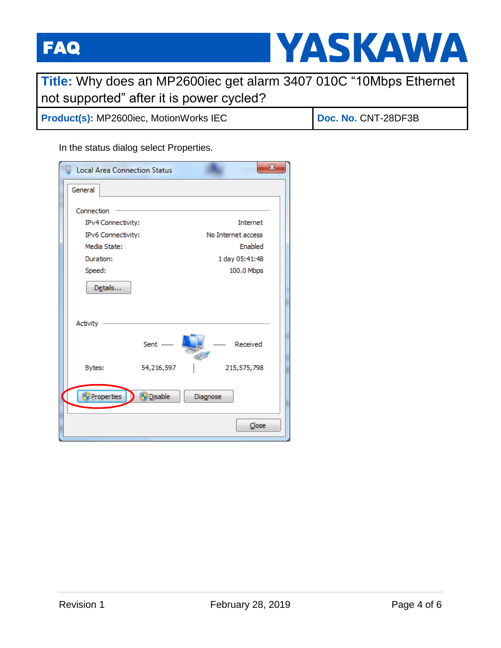

| Title: Why does an MP2600iec get alarm 3407 010C "10Mbps Ethernet |                     |
|-------------------------------------------------------------------|---------------------|
| not supported" after it is power cycled?                          |                     |
| <b>Product(s): MP2600iec, MotionWorks IEC</b>                     | Doc. No. CNT-28DF3B |

In the status dialog select Properties.

| <b>Local Area Connection Status</b> |                |                    | $\mathbf{x}$ |
|-------------------------------------|----------------|--------------------|--------------|
| General                             |                |                    |              |
| Connection                          |                |                    |              |
| IPv4 Connectivity:                  |                | Internet           |              |
| IPv6 Connectivity:                  |                | No Internet access |              |
| Media State:                        |                | <b>Enabled</b>     |              |
| Duration:                           |                | 1 day 05:41:48     |              |
| Speed:                              |                | 100.0 Mbps         |              |
| Details                             |                |                    |              |
| <b>Activity</b>                     |                |                    |              |
|                                     | $Sent$ $-$     | Received           |              |
| Bytes:                              | 54,216,597     | 215,575,798        |              |
| Properties                          | <b>Disable</b> | Diagnose           |              |
|                                     |                | Close              |              |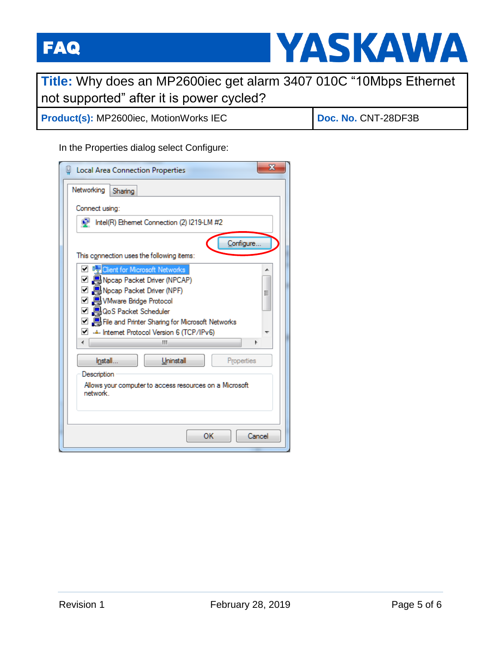

**Title:** Why does an MP2600iec get alarm 3407 010C "10Mbps Ethernet not supported" after it is power cycled?

**Product(s):** MP2600iec, MotionWorks IEC **Doc. No. CNT-28DF3B** 

In the Properties dialog select Configure:

| X<br>Local Area Connection Properties                                                         |
|-----------------------------------------------------------------------------------------------|
| Networking<br>Sharing                                                                         |
| Connect using:                                                                                |
| Intel(R) Ethemet Connection (2) I219-LM #2                                                    |
| Configure                                                                                     |
| This connection uses the following items:                                                     |
| <b>D</b> D <sub>2</sub> Client for Microsoft Networks<br>▲                                    |
| □ ■Npcap Packet Driver (NPCAP)<br>□ ■ Npcap Packet Driver (NPF)                               |
| Ξ<br>□ A VMware Bridge Protocol                                                               |
| ☑ AoS Packet Scheduler                                                                        |
| □ 鳥 File and Printer Sharing for Microsoft Networks<br>Internet Protocol Version 6 (TCP/IPv6) |
| Ш<br>۱<br>∢                                                                                   |
| Install<br>Uninstall<br>Properties                                                            |
| Description                                                                                   |
| Allows your computer to access resources on a Microsoft<br>network.                           |
|                                                                                               |
|                                                                                               |
| OK<br>Cancel                                                                                  |